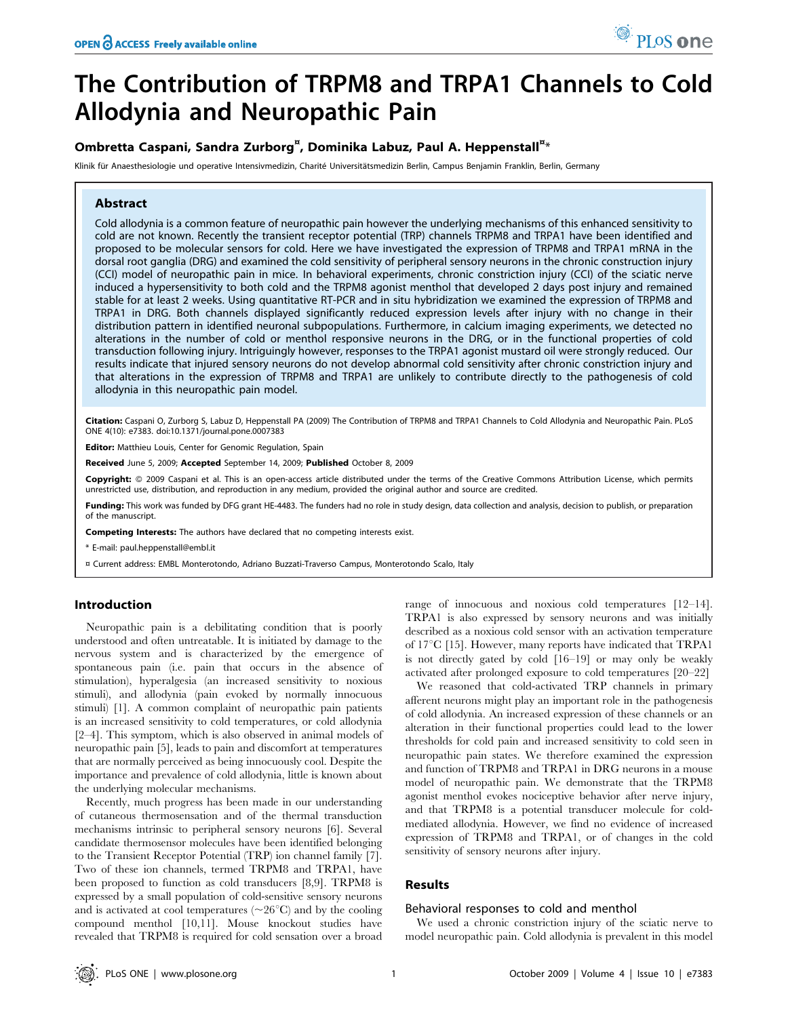# The Contribution of TRPM8 and TRPA1 Channels to Cold Allodynia and Neuropathic Pain

# Ombretta Caspani, Sandra Zurborg<sup>¤</sup>, Dominika Labuz, Paul A. Heppenstall<sup>¤</sup>\*

Klinik für Anaesthesiologie und operative Intensivmedizin, Charité Universitätsmedizin Berlin, Campus Benjamin Franklin, Berlin, Germany

## Abstract

Cold allodynia is a common feature of neuropathic pain however the underlying mechanisms of this enhanced sensitivity to cold are not known. Recently the transient receptor potential (TRP) channels TRPM8 and TRPA1 have been identified and proposed to be molecular sensors for cold. Here we have investigated the expression of TRPM8 and TRPA1 mRNA in the dorsal root ganglia (DRG) and examined the cold sensitivity of peripheral sensory neurons in the chronic construction injury (CCI) model of neuropathic pain in mice. In behavioral experiments, chronic constriction injury (CCI) of the sciatic nerve induced a hypersensitivity to both cold and the TRPM8 agonist menthol that developed 2 days post injury and remained stable for at least 2 weeks. Using quantitative RT-PCR and in situ hybridization we examined the expression of TRPM8 and TRPA1 in DRG. Both channels displayed significantly reduced expression levels after injury with no change in their distribution pattern in identified neuronal subpopulations. Furthermore, in calcium imaging experiments, we detected no alterations in the number of cold or menthol responsive neurons in the DRG, or in the functional properties of cold transduction following injury. Intriguingly however, responses to the TRPA1 agonist mustard oil were strongly reduced. Our results indicate that injured sensory neurons do not develop abnormal cold sensitivity after chronic constriction injury and that alterations in the expression of TRPM8 and TRPA1 are unlikely to contribute directly to the pathogenesis of cold allodynia in this neuropathic pain model.

Citation: Caspani O, Zurborg S, Labuz D, Heppenstall PA (2009) The Contribution of TRPM8 and TRPA1 Channels to Cold Allodynia and Neuropathic Pain. PLoS ONE 4(10): e7383. doi:10.1371/journal.pone.0007383

Editor: Matthieu Louis, Center for Genomic Regulation, Spain

Received June 5, 2009; Accepted September 14, 2009; Published October 8, 2009

Copyright: @ 2009 Caspani et al. This is an open-access article distributed under the terms of the Creative Commons Attribution License, which permits unrestricted use, distribution, and reproduction in any medium, provided the original author and source are credited.

Funding: This work was funded by DFG grant HE-4483. The funders had no role in study design, data collection and analysis, decision to publish, or preparation of the manuscript.

Competing Interests: The authors have declared that no competing interests exist.

\* E-mail: paul.heppenstall@embl.it

¤ Current address: EMBL Monterotondo, Adriano Buzzati-Traverso Campus, Monterotondo Scalo, Italy

## Introduction

Neuropathic pain is a debilitating condition that is poorly understood and often untreatable. It is initiated by damage to the nervous system and is characterized by the emergence of spontaneous pain (i.e. pain that occurs in the absence of stimulation), hyperalgesia (an increased sensitivity to noxious stimuli), and allodynia (pain evoked by normally innocuous stimuli) [1]. A common complaint of neuropathic pain patients is an increased sensitivity to cold temperatures, or cold allodynia [2–4]. This symptom, which is also observed in animal models of neuropathic pain [5], leads to pain and discomfort at temperatures that are normally perceived as being innocuously cool. Despite the importance and prevalence of cold allodynia, little is known about the underlying molecular mechanisms.

Recently, much progress has been made in our understanding of cutaneous thermosensation and of the thermal transduction mechanisms intrinsic to peripheral sensory neurons [6]. Several candidate thermosensor molecules have been identified belonging to the Transient Receptor Potential (TRP) ion channel family [7]. Two of these ion channels, termed TRPM8 and TRPA1, have been proposed to function as cold transducers [8,9]. TRPM8 is expressed by a small population of cold-sensitive sensory neurons and is activated at cool temperatures ( $\sim$ 26 $\degree$ C) and by the cooling compound menthol [10,11]. Mouse knockout studies have revealed that TRPM8 is required for cold sensation over a broad range of innocuous and noxious cold temperatures [12–14]. TRPA1 is also expressed by sensory neurons and was initially described as a noxious cold sensor with an activation temperature of  $17^{\circ}$ C [15]. However, many reports have indicated that TRPA1 is not directly gated by cold [16–19] or may only be weakly activated after prolonged exposure to cold temperatures [20–22]

We reasoned that cold-activated TRP channels in primary afferent neurons might play an important role in the pathogenesis of cold allodynia. An increased expression of these channels or an alteration in their functional properties could lead to the lower thresholds for cold pain and increased sensitivity to cold seen in neuropathic pain states. We therefore examined the expression and function of TRPM8 and TRPA1 in DRG neurons in a mouse model of neuropathic pain. We demonstrate that the TRPM8 agonist menthol evokes nociceptive behavior after nerve injury, and that TRPM8 is a potential transducer molecule for coldmediated allodynia. However, we find no evidence of increased expression of TRPM8 and TRPA1, or of changes in the cold sensitivity of sensory neurons after injury.

# Results

#### Behavioral responses to cold and menthol

We used a chronic constriction injury of the sciatic nerve to model neuropathic pain. Cold allodynia is prevalent in this model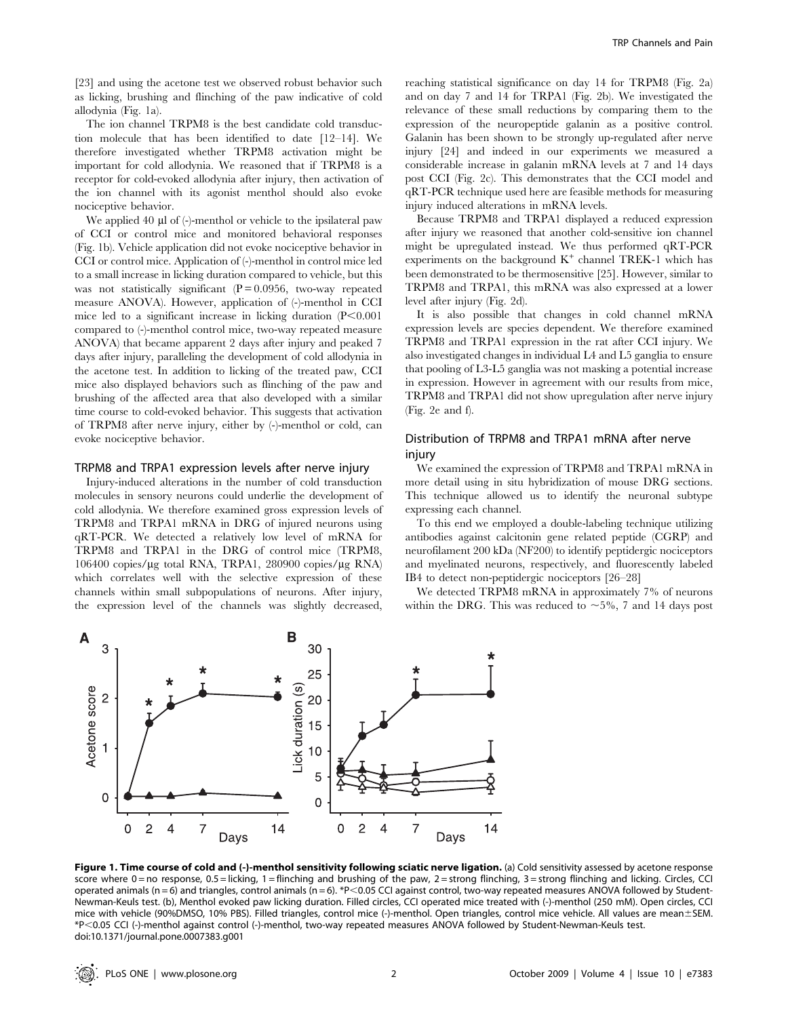[23] and using the acetone test we observed robust behavior such as licking, brushing and flinching of the paw indicative of cold allodynia (Fig. 1a).

The ion channel TRPM8 is the best candidate cold transduction molecule that has been identified to date [12–14]. We therefore investigated whether TRPM8 activation might be important for cold allodynia. We reasoned that if TRPM8 is a receptor for cold-evoked allodynia after injury, then activation of the ion channel with its agonist menthol should also evoke nociceptive behavior.

We applied 40 ul of (-)-menthol or vehicle to the ipsilateral paw of CCI or control mice and monitored behavioral responses (Fig. 1b). Vehicle application did not evoke nociceptive behavior in CCI or control mice. Application of (-)-menthol in control mice led to a small increase in licking duration compared to vehicle, but this was not statistically significant  $(P = 0.0956$ , two-way repeated measure ANOVA). However, application of (-)-menthol in CCI mice led to a significant increase in licking duration  $(P<0.001)$ compared to (-)-menthol control mice, two-way repeated measure ANOVA) that became apparent 2 days after injury and peaked 7 days after injury, paralleling the development of cold allodynia in the acetone test. In addition to licking of the treated paw, CCI mice also displayed behaviors such as flinching of the paw and brushing of the affected area that also developed with a similar time course to cold-evoked behavior. This suggests that activation of TRPM8 after nerve injury, either by (-)-menthol or cold, can evoke nociceptive behavior.

## TRPM8 and TRPA1 expression levels after nerve injury

Injury-induced alterations in the number of cold transduction molecules in sensory neurons could underlie the development of cold allodynia. We therefore examined gross expression levels of TRPM8 and TRPA1 mRNA in DRG of injured neurons using qRT-PCR. We detected a relatively low level of mRNA for TRPM8 and TRPA1 in the DRG of control mice (TRPM8,  $106400$  copies/ $\mu$ g total RNA, TRPA1, 280900 copies/ $\mu$ g RNA) which correlates well with the selective expression of these channels within small subpopulations of neurons. After injury, the expression level of the channels was slightly decreased,

reaching statistical significance on day 14 for TRPM8 (Fig. 2a) and on day 7 and 14 for TRPA1 (Fig. 2b). We investigated the relevance of these small reductions by comparing them to the expression of the neuropeptide galanin as a positive control. Galanin has been shown to be strongly up-regulated after nerve injury [24] and indeed in our experiments we measured a considerable increase in galanin mRNA levels at 7 and 14 days post CCI (Fig. 2c). This demonstrates that the CCI model and qRT-PCR technique used here are feasible methods for measuring injury induced alterations in mRNA levels.

Because TRPM8 and TRPA1 displayed a reduced expression after injury we reasoned that another cold-sensitive ion channel might be upregulated instead. We thus performed qRT-PCR experiments on the background  $K^+$  channel TREK-1 which has been demonstrated to be thermosensitive [25]. However, similar to TRPM8 and TRPA1, this mRNA was also expressed at a lower level after injury (Fig. 2d).

It is also possible that changes in cold channel mRNA expression levels are species dependent. We therefore examined TRPM8 and TRPA1 expression in the rat after CCI injury. We also investigated changes in individual L4 and L5 ganglia to ensure that pooling of L3-L5 ganglia was not masking a potential increase in expression. However in agreement with our results from mice, TRPM8 and TRPA1 did not show upregulation after nerve injury (Fig. 2e and f).

# Distribution of TRPM8 and TRPA1 mRNA after nerve injury

We examined the expression of TRPM8 and TRPA1 mRNA in more detail using in situ hybridization of mouse DRG sections. This technique allowed us to identify the neuronal subtype expressing each channel.

To this end we employed a double-labeling technique utilizing antibodies against calcitonin gene related peptide (CGRP) and neurofilament 200 kDa (NF200) to identify peptidergic nociceptors and myelinated neurons, respectively, and fluorescently labeled IB4 to detect non-peptidergic nociceptors [26–28]

We detected TRPM8 mRNA in approximately 7% of neurons within the DRG. This was reduced to  $\sim$  5%, 7 and 14 days post



Figure 1. Time course of cold and (-)-menthol sensitivity following sciatic nerve ligation. (a) Cold sensitivity assessed by acetone response score where 0 = no response, 0.5 = licking, 1 = flinching and brushing of the paw, 2 = strong flinching, 3 = strong flinching and licking. Circles, CCI operated animals (n = 6) and triangles, control animals (n = 6). \*P<0.05 CCI against control, two-way repeated measures ANOVA followed by Student-Newman-Keuls test. (b), Menthol evoked paw licking duration. Filled circles, CCI operated mice treated with (-)-menthol (250 mM). Open circles, CCI mice with vehicle (90%DMSO, 10% PBS). Filled triangles, control mice (-)-menthol. Open triangles, control mice vehicle. All values are mean±SEM. \*P,0.05 CCI (-)-menthol against control (-)-menthol, two-way repeated measures ANOVA followed by Student-Newman-Keuls test. doi:10.1371/journal.pone.0007383.g001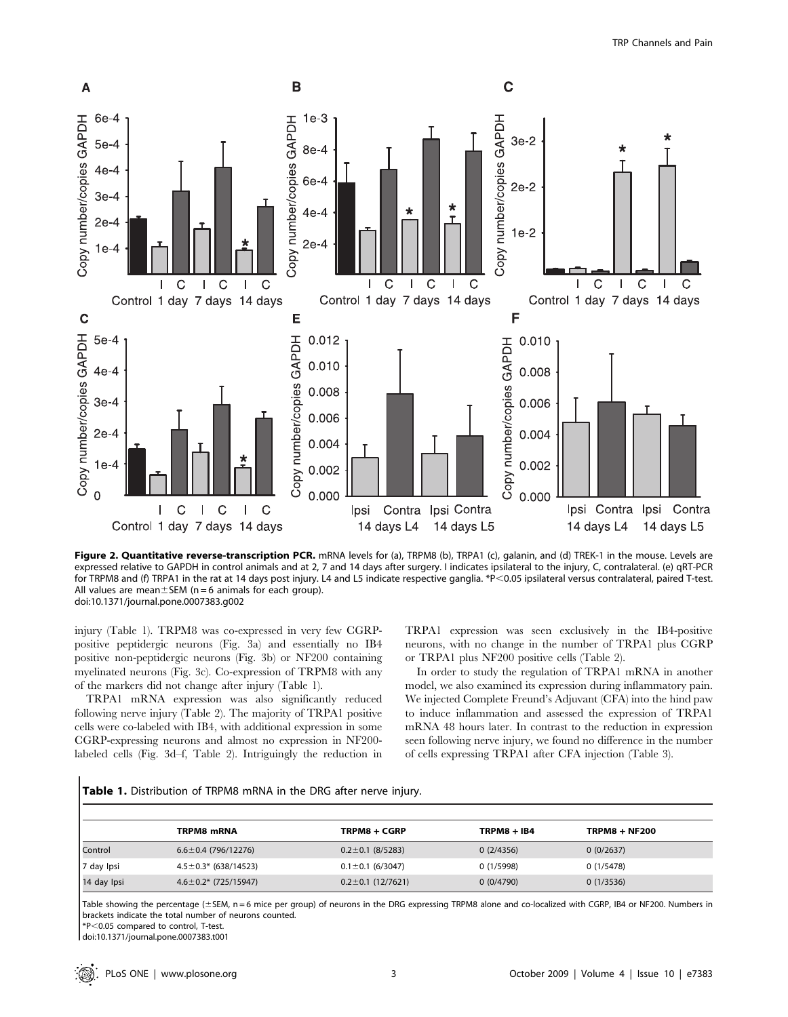

Figure 2. Quantitative reverse-transcription PCR. mRNA levels for (a), TRPM8 (b), TRPA1 (c), galanin, and (d) TREK-1 in the mouse. Levels are expressed relative to GAPDH in control animals and at 2, 7 and 14 days after surgery. I indicates ipsilateral to the injury, C, contralateral. (e) qRT-PCR for TRPM8 and (f) TRPA1 in the rat at 14 days post injury. L4 and L5 indicate respective ganglia. \*P<0.05 ipsilateral versus contralateral, paired T-test. All values are mean $\pm$ SEM (n = 6 animals for each group). doi:10.1371/journal.pone.0007383.g002

injury (Table 1). TRPM8 was co-expressed in very few CGRPpositive peptidergic neurons (Fig. 3a) and essentially no IB4 positive non-peptidergic neurons (Fig. 3b) or NF200 containing myelinated neurons (Fig. 3c). Co-expression of TRPM8 with any of the markers did not change after injury (Table 1).

TRPA1 mRNA expression was also significantly reduced following nerve injury (Table 2). The majority of TRPA1 positive cells were co-labeled with IB4, with additional expression in some CGRP-expressing neurons and almost no expression in NF200 labeled cells (Fig. 3d–f, Table 2). Intriguingly the reduction in

TRPA1 expression was seen exclusively in the IB4-positive neurons, with no change in the number of TRPA1 plus CGRP or TRPA1 plus NF200 positive cells (Table 2).

In order to study the regulation of TRPA1 mRNA in another model, we also examined its expression during inflammatory pain. We injected Complete Freund's Adjuvant (CFA) into the hind paw to induce inflammation and assessed the expression of TRPA1 mRNA 48 hours later. In contrast to the reduction in expression seen following nerve injury, we found no difference in the number of cells expressing TRPA1 after CFA injection (Table 3).

Table 1. Distribution of TRPM8 mRNA in the DRG after nerve injury.

|             | TRPM8 mRNA                  | <b>TRPM8 + CGRP</b>     | <b>TRPM8 + IB4</b> | <b>TRPM8 + NF200</b> |
|-------------|-----------------------------|-------------------------|--------------------|----------------------|
| Control     | $6.6 \pm 0.4$ (796/12276)   | $0.2 \pm 0.1$ (8/5283)  | 0(2/4356)          | 0(0/2637)            |
| 7 day Ipsi  | $4.5 \pm 0.3$ * (638/14523) | $0.1 \pm 0.1$ (6/3047)  | 0(1/5998)          | 0(1/5478)            |
| 14 day Ipsi | $4.6 \pm 0.2$ * (725/15947) | $0.2 \pm 0.1$ (12/7621) | 0(0/4790)          | 0(1/3536)            |

Table showing the percentage (±SEM, n = 6 mice per group) of neurons in the DRG expressing TRPM8 alone and co-localized with CGRP, IB4 or NF200. Numbers in brackets indicate the total number of neurons counted.

\*P,0.05 compared to control, T-test.

doi:10.1371/journal.pone.0007383.t001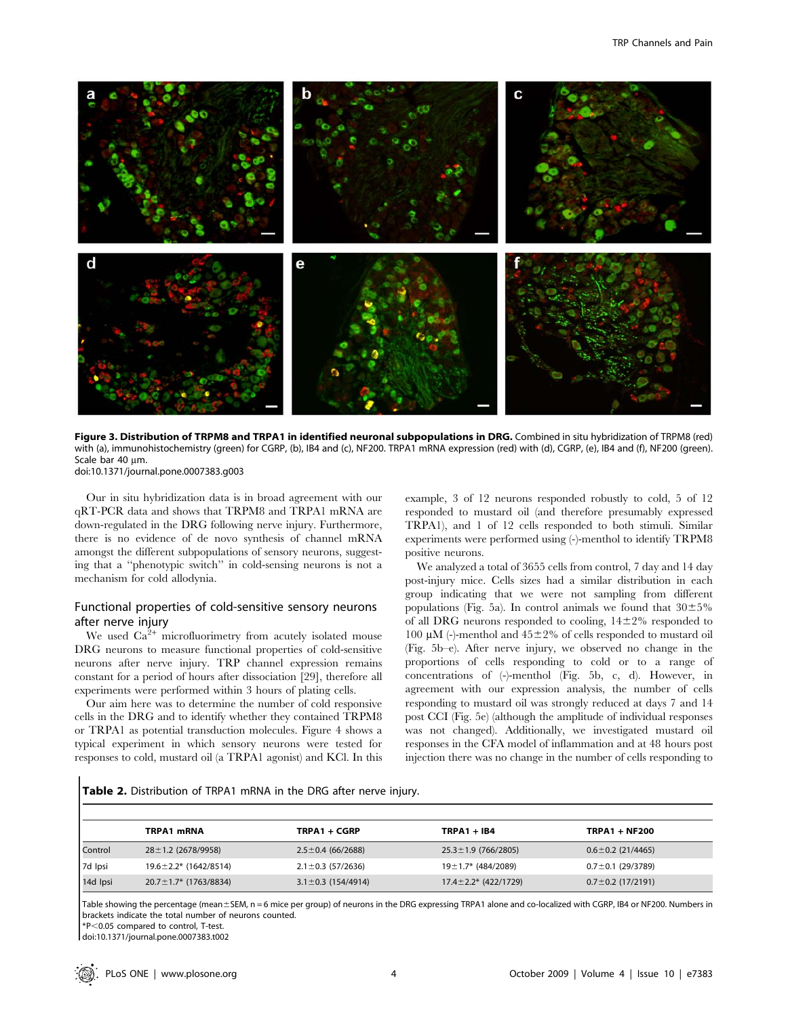

Figure 3. Distribution of TRPM8 and TRPA1 in identified neuronal subpopulations in DRG. Combined in situ hybridization of TRPM8 (red) with (a), immunohistochemistry (green) for CGRP, (b), IB4 and (c), NF200. TRPA1 mRNA expression (red) with (d), CGRP, (e), IB4 and (f), NF200 (green). Scale bar 40 um.

doi:10.1371/journal.pone.0007383.g003

Our in situ hybridization data is in broad agreement with our qRT-PCR data and shows that TRPM8 and TRPA1 mRNA are down-regulated in the DRG following nerve injury. Furthermore, there is no evidence of de novo synthesis of channel mRNA amongst the different subpopulations of sensory neurons, suggesting that a ''phenotypic switch'' in cold-sensing neurons is not a mechanism for cold allodynia.

# Functional properties of cold-sensitive sensory neurons after nerve injury

We used  $Ca^{2+}$  microfluorimetry from acutely isolated mouse DRG neurons to measure functional properties of cold-sensitive neurons after nerve injury. TRP channel expression remains constant for a period of hours after dissociation [29], therefore all experiments were performed within 3 hours of plating cells.

Our aim here was to determine the number of cold responsive cells in the DRG and to identify whether they contained TRPM8 or TRPA1 as potential transduction molecules. Figure 4 shows a typical experiment in which sensory neurons were tested for responses to cold, mustard oil (a TRPA1 agonist) and KCl. In this example, 3 of 12 neurons responded robustly to cold, 5 of 12 responded to mustard oil (and therefore presumably expressed TRPA1), and 1 of 12 cells responded to both stimuli. Similar experiments were performed using (-)-menthol to identify TRPM8 positive neurons.

We analyzed a total of 3655 cells from control, 7 day and 14 day post-injury mice. Cells sizes had a similar distribution in each group indicating that we were not sampling from different populations (Fig. 5a). In control animals we found that  $30\pm5\%$ of all DRG neurons responded to cooling,  $14\pm2\%$  responded to 100  $\mu$ M (-)-menthol and 45±2% of cells responded to mustard oil (Fig. 5b–e). After nerve injury, we observed no change in the proportions of cells responding to cold or to a range of concentrations of (-)-menthol (Fig. 5b, c, d). However, in agreement with our expression analysis, the number of cells responding to mustard oil was strongly reduced at days 7 and 14 post CCI (Fig. 5e) (although the amplitude of individual responses was not changed). Additionally, we investigated mustard oil responses in the CFA model of inflammation and at 48 hours post injection there was no change in the number of cells responding to

Table 2. Distribution of TRPA1 mRNA in the DRG after nerve injury.

|          | TRPA1 mRNA                   | TRPA1 + CGRP             | $TRPA1 + IB4$               | <b>TRPA1 + NF200</b>    |
|----------|------------------------------|--------------------------|-----------------------------|-------------------------|
| Control  | $28 \pm 1.2$ (2678/9958)     | $2.5 \pm 0.4$ (66/2688)  | $25.3 \pm 1.9$ (766/2805)   | $0.6 \pm 0.2$ (21/4465) |
| 7d Ipsi  | $19.6 \pm 2.2$ * (1642/8514) | $2.1 \pm 0.3$ (57/2636)  | $19 \pm 1.7$ * (484/2089)   | $0.7 \pm 0.1$ (29/3789) |
| 14d Ipsi | $20.7 \pm 1.7$ * (1763/8834) | $3.1 \pm 0.3$ (154/4914) | $17.4 \pm 2.2^*$ (422/1729) | $0.7 \pm 0.2$ (17/2191) |

Table showing the percentage (mean±SEM, n = 6 mice per group) of neurons in the DRG expressing TRPA1 alone and co-localized with CGRP, IB4 or NF200. Numbers in brackets indicate the total number of neurons counted.

\*P,0.05 compared to control, T-test.

doi:10.1371/journal.pone.0007383.t002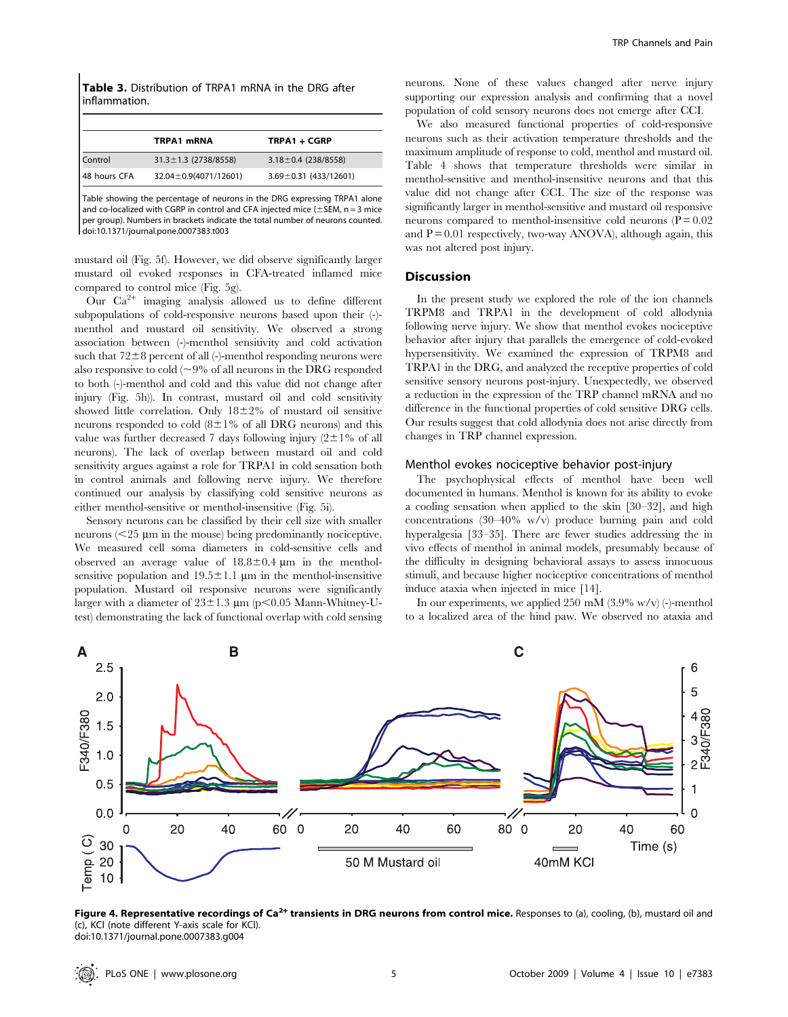Table 3. Distribution of TRPA1 mRNA in the DRG after inflammation.

| TRPA1 mRNA                 | TRPA1 + CGRP                |
|----------------------------|-----------------------------|
| $31.3 \pm 1.3$ (2738/8558) | $3.18 \pm 0.4$ (238/8558)   |
| 32.04 ± 0.9(4071/12601)    | $3.69 \pm 0.31$ (433/12601) |
|                            |                             |

Table showing the percentage of neurons in the DRG expressing TRPA1 alone and co-localized with CGRP in control and CFA injected mice ( $\pm$ SEM, n = 3 mice per group). Numbers in brackets indicate the total number of neurons counted. doi:10.1371/journal.pone.0007383.t003

mustard oil (Fig. 5f). However, we did observe significantly larger mustard oil evoked responses in CFA-treated inflamed mice compared to control mice (Fig. 5g).

Our  $Ca^{2+}$  imaging analysis allowed us to define different subpopulations of cold-responsive neurons based upon their (-) menthol and mustard oil sensitivity. We observed a strong association between (-)-menthol sensitivity and cold activation such that  $72\pm8$  percent of all (-)-menthol responding neurons were also responsive to cold ( $\sim$ 9% of all neurons in the DRG responded to both (-)-menthol and cold and this value did not change after injury (Fig. 5h)). In contrast, mustard oil and cold sensitivity showed little correlation. Only  $18\pm2\%$  of mustard oil sensitive neurons responded to cold  $(8\pm1\%$  of all DRG neurons) and this value was further decreased 7 days following injury  $(2\pm1\%$  of all neurons). The lack of overlap between mustard oil and cold sensitivity argues against a role for TRPA1 in cold sensation both in control animals and following nerve injury. We therefore continued our analysis by classifying cold sensitive neurons as either menthol-sensitive or menthol-insensitive (Fig. 5i).

Sensory neurons can be classified by their cell size with smaller neurons  $(< 25 \mu m$  in the mouse) being predominantly nociceptive. We measured cell soma diameters in cold-sensitive cells and observed an average value of  $18.8 \pm 0.4$  µm in the mentholsensitive population and  $19.5 \pm 1.1$  µm in the menthol-insensitive population. Mustard oil responsive neurons were significantly larger with a diameter of  $23\pm1.3$  µm (p<0.05 Mann-Whitney-Utest) demonstrating the lack of functional overlap with cold sensing

neurons. None of these values changed after nerve injury supporting our expression analysis and confirming that a novel population of cold sensory neurons does not emerge after CCI.

We also measured functional properties of cold-responsive neurons such as their activation temperature thresholds and the maximum amplitude of response to cold, menthol and mustard oil. Table 4 shows that temperature thresholds were similar in menthol-sensitive and menthol-insensitive neurons and that this value did not change after CCI. The size of the response was significantly larger in menthol-sensitive and mustard oil responsive neurons compared to menthol-insensitive cold neurons  $(P = 0.02)$ and  $P = 0.01$  respectively, two-way ANOVA), although again, this was not altered post injury.

#### Discussion

In the present study we explored the role of the ion channels TRPM8 and TRPA1 in the development of cold allodynia following nerve injury. We show that menthol evokes nociceptive behavior after injury that parallels the emergence of cold-evoked hypersensitivity. We examined the expression of TRPM8 and TRPA1 in the DRG, and analyzed the receptive properties of cold sensitive sensory neurons post-injury. Unexpectedly, we observed a reduction in the expression of the TRP channel mRNA and no difference in the functional properties of cold sensitive DRG cells. Our results suggest that cold allodynia does not arise directly from changes in TRP channel expression.

## Menthol evokes nociceptive behavior post-injury

The psychophysical effects of menthol have been well documented in humans. Menthol is known for its ability to evoke a cooling sensation when applied to the skin [30–32], and high concentrations (30–40% w/v) produce burning pain and cold hyperalgesia [33–35]. There are fewer studies addressing the in vivo effects of menthol in animal models, presumably because of the difficulty in designing behavioral assays to assess innocuous stimuli, and because higher nociceptive concentrations of menthol induce ataxia when injected in mice [14].

In our experiments, we applied 250 mM  $(3.9\% \text{ w/v})$  (-)-menthol to a localized area of the hind paw. We observed no ataxia and



Figure 4. Representative recordings of Ca<sup>2+</sup> transients in DRG neurons from control mice. Responses to (a), cooling, (b), mustard oil and (c), KCl (note different Y-axis scale for KCl). doi:10.1371/journal.pone.0007383.g004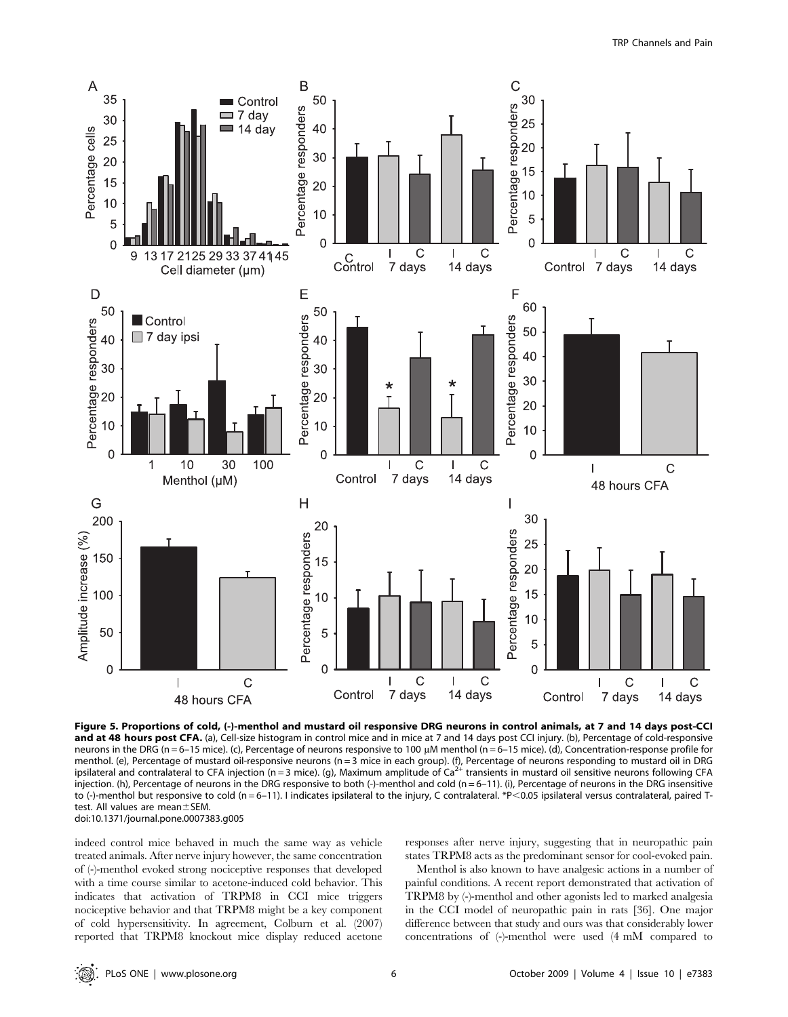

Figure 5. Proportions of cold, (-)-menthol and mustard oil responsive DRG neurons in control animals, at 7 and 14 days post-CCI and at 48 hours post CFA. (a), Cell-size histogram in control mice and in mice at 7 and 14 days post CCI injury. (b), Percentage of cold-responsive neurons in the DRG (n = 6–15 mice). (c), Percentage of neurons responsive to 100  $\mu$ M menthol (n = 6–15 mice). (d), Concentration-response profile for menthol. (e), Percentage of mustard oil-responsive neurons (n = 3 mice in each group). (f), Percentage of neurons responding to mustard oil in DRG<br>ipsilateral and contralateral to CFA injection (n = 3 mice). (g), Maximum a injection. (h), Percentage of neurons in the DRG responsive to both (-)-menthol and cold (n = 6–11). (i), Percentage of neurons in the DRG insensitive to (-)-menthol but responsive to cold (n = 6-11). I indicates ipsilateral to the injury, C contralateral. \*P<0.05 ipsilateral versus contralateral, paired Ttest. All values are mean $\pm$ SEM doi:10.1371/journal.pone.0007383.g005

indeed control mice behaved in much the same way as vehicle treated animals. After nerve injury however, the same concentration of (-)-menthol evoked strong nociceptive responses that developed with a time course similar to acetone-induced cold behavior. This indicates that activation of TRPM8 in CCI mice triggers nociceptive behavior and that TRPM8 might be a key component of cold hypersensitivity. In agreement, Colburn et al. (2007) reported that TRPM8 knockout mice display reduced acetone responses after nerve injury, suggesting that in neuropathic pain states TRPM8 acts as the predominant sensor for cool-evoked pain.

Menthol is also known to have analgesic actions in a number of painful conditions. A recent report demonstrated that activation of TRPM8 by (-)-menthol and other agonists led to marked analgesia in the CCI model of neuropathic pain in rats [36]. One major difference between that study and ours was that considerably lower concentrations of (-)-menthol were used (4 mM compared to

 $\circledR$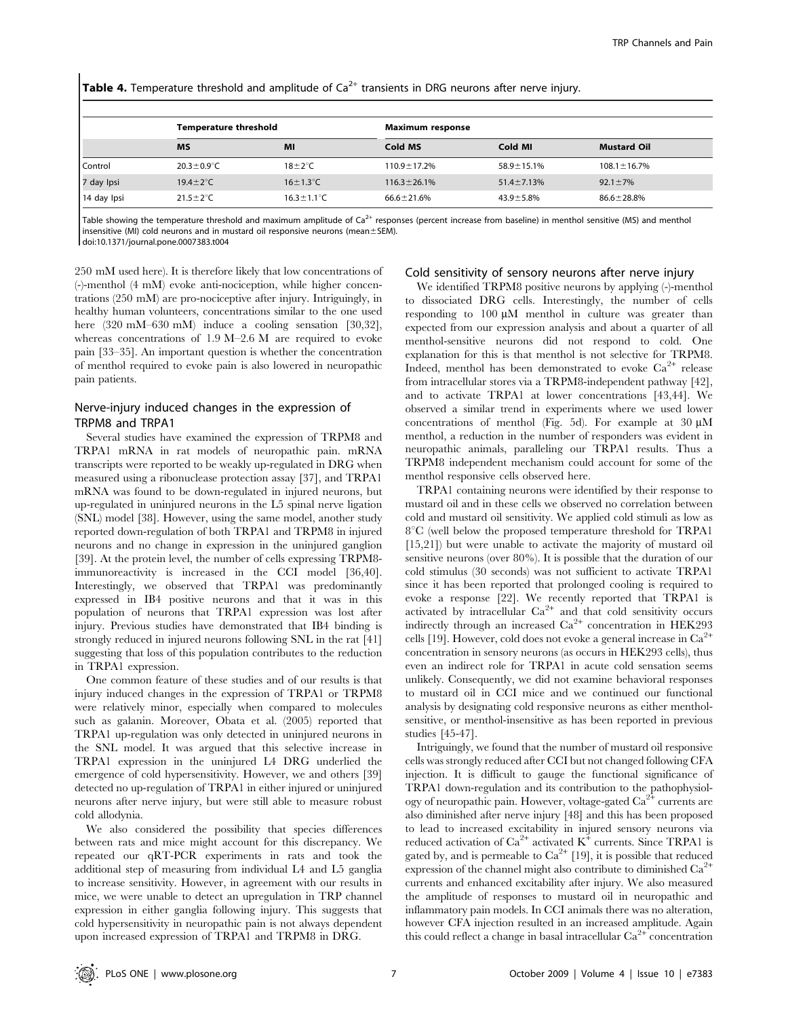**Table 4.** Temperature threshold and amplitude of  $Ca<sup>2+</sup>$  transients in DRG neurons after nerve injury.

|             | <b>Temperature threshold</b> |                          | Maximum response   |                   |                    |  |  |
|-------------|------------------------------|--------------------------|--------------------|-------------------|--------------------|--|--|
|             | <b>MS</b>                    | MI                       | Cold MS            | Cold MI           | <b>Mustard Oil</b> |  |  |
| Control     | $20.3 \pm 0.9^{\circ}$ C     | $18 \pm 2^{\circ}$ C     | $110.9 \pm 17.2\%$ | $58.9 \pm 15.1\%$ | $108.1 \pm 16.7\%$ |  |  |
| 7 day Ipsi  | 19.4 $\pm$ 2 $\degree$ C     | $16 \pm 1.3^{\circ}$ C   | $116.3 \pm 26.1\%$ | $51.4 \pm 7.13\%$ | $92.1 \pm 7\%$     |  |  |
| 14 day Ipsi | $21.5 \pm 2^{\circ}$ C       | $16.3 \pm 1.1^{\circ}$ C | $66.6 \pm 21.6%$   | $43.9 \pm 5.8\%$  | $86.6 \pm 28.8\%$  |  |  |

Table showing the temperature threshold and maximum amplitude of  $Ca<sup>2+</sup>$  responses (percent increase from baseline) in menthol sensitive (MS) and menthol insensitive (MI) cold neurons and in mustard oil responsive neurons (mean $\pm$ SEM). doi:10.1371/journal.pone.0007383.t004

250 mM used here). It is therefore likely that low concentrations of (-)-menthol (4 mM) evoke anti-nociception, while higher concentrations (250 mM) are pro-nociceptive after injury. Intriguingly, in healthy human volunteers, concentrations similar to the one used here (320 mM–630 mM) induce a cooling sensation [30,32], whereas concentrations of 1.9 M–2.6 M are required to evoke pain [33–35]. An important question is whether the concentration of menthol required to evoke pain is also lowered in neuropathic pain patients.

# Nerve-injury induced changes in the expression of TRPM8 and TRPA1

Several studies have examined the expression of TRPM8 and TRPA1 mRNA in rat models of neuropathic pain. mRNA transcripts were reported to be weakly up-regulated in DRG when measured using a ribonuclease protection assay [37], and TRPA1 mRNA was found to be down-regulated in injured neurons, but up-regulated in uninjured neurons in the L5 spinal nerve ligation (SNL) model [38]. However, using the same model, another study reported down-regulation of both TRPA1 and TRPM8 in injured neurons and no change in expression in the uninjured ganglion [39]. At the protein level, the number of cells expressing TRPM8 immunoreactivity is increased in the CCI model [36,40]. Interestingly, we observed that TRPA1 was predominantly expressed in IB4 positive neurons and that it was in this population of neurons that TRPA1 expression was lost after injury. Previous studies have demonstrated that IB4 binding is strongly reduced in injured neurons following SNL in the rat [41] suggesting that loss of this population contributes to the reduction in TRPA1 expression.

One common feature of these studies and of our results is that injury induced changes in the expression of TRPA1 or TRPM8 were relatively minor, especially when compared to molecules such as galanin. Moreover, Obata et al. (2005) reported that TRPA1 up-regulation was only detected in uninjured neurons in the SNL model. It was argued that this selective increase in TRPA1 expression in the uninjured L4 DRG underlied the emergence of cold hypersensitivity. However, we and others [39] detected no up-regulation of TRPA1 in either injured or uninjured neurons after nerve injury, but were still able to measure robust cold allodynia.

We also considered the possibility that species differences between rats and mice might account for this discrepancy. We repeated our qRT-PCR experiments in rats and took the additional step of measuring from individual L4 and L5 ganglia to increase sensitivity. However, in agreement with our results in mice, we were unable to detect an upregulation in TRP channel expression in either ganglia following injury. This suggests that cold hypersensitivity in neuropathic pain is not always dependent upon increased expression of TRPA1 and TRPM8 in DRG.

#### Cold sensitivity of sensory neurons after nerve injury

We identified TRPM8 positive neurons by applying (-)-menthol to dissociated DRG cells. Interestingly, the number of cells responding to  $100 \mu M$  menthol in culture was greater than expected from our expression analysis and about a quarter of all menthol-sensitive neurons did not respond to cold. One explanation for this is that menthol is not selective for TRPM8. Indeed, menthol has been demonstrated to evoke  $Ca^{2+}$  release from intracellular stores via a TRPM8-independent pathway [42], and to activate TRPA1 at lower concentrations [43,44]. We observed a similar trend in experiments where we used lower concentrations of menthol (Fig. 5d). For example at  $30 \mu M$ menthol, a reduction in the number of responders was evident in neuropathic animals, paralleling our TRPA1 results. Thus a TRPM8 independent mechanism could account for some of the menthol responsive cells observed here.

TRPA1 containing neurons were identified by their response to mustard oil and in these cells we observed no correlation between cold and mustard oil sensitivity. We applied cold stimuli as low as  $8^{\circ}$ C (well below the proposed temperature threshold for TRPA1 [15,21]) but were unable to activate the majority of mustard oil sensitive neurons (over 80%). It is possible that the duration of our cold stimulus (30 seconds) was not sufficient to activate TRPA1 since it has been reported that prolonged cooling is required to evoke a response [22]. We recently reported that TRPA1 is activated by intracellular  $Ca^{2+}$  and that cold sensitivity occurs indirectly through an increased  $Ca^{2+}$  concentration in HEK293 cells [19]. However, cold does not evoke a general increase in  $Ca^{2+}$ concentration in sensory neurons (as occurs in HEK293 cells), thus even an indirect role for TRPA1 in acute cold sensation seems unlikely. Consequently, we did not examine behavioral responses to mustard oil in CCI mice and we continued our functional analysis by designating cold responsive neurons as either mentholsensitive, or menthol-insensitive as has been reported in previous studies [45-47].

Intriguingly, we found that the number of mustard oil responsive cells was strongly reduced after CCI but not changed following CFA injection. It is difficult to gauge the functional significance of TRPA1 down-regulation and its contribution to the pathophysiology of neuropathic pain. However, voltage-gated  $Ca<sup>2+</sup>$  currents are also diminished after nerve injury [48] and this has been proposed to lead to increased excitability in injured sensory neurons via reduced activation of  $Ca^{2+}$  activated  $K^+$  currents. Since TRPA1 is gated by, and is permeable to  $Ca^{2+}$  [19], it is possible that reduced expression of the channel might also contribute to diminished  $Ca<sup>2+</sup>$ currents and enhanced excitability after injury. We also measured the amplitude of responses to mustard oil in neuropathic and inflammatory pain models. In CCI animals there was no alteration, however CFA injection resulted in an increased amplitude. Again this could reflect a change in basal intracellular  $Ca^{2+}$  concentration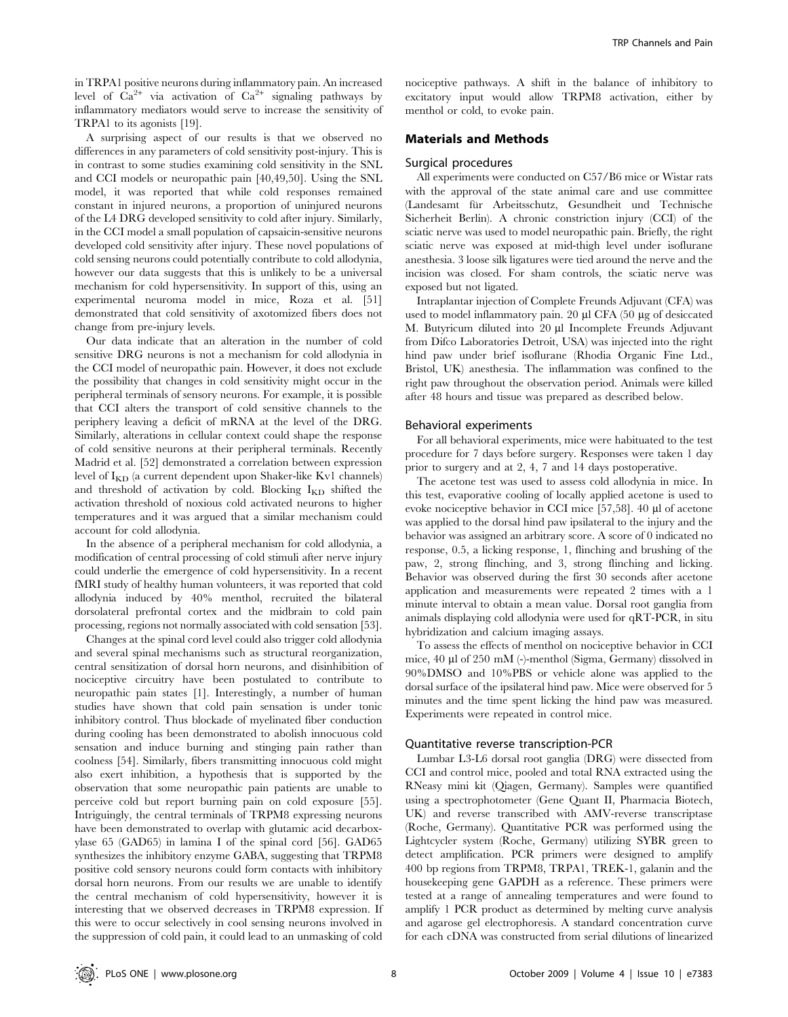in TRPA1 positive neurons during inflammatory pain. An increased level of  $Ca^{2+}$  via activation of  $Ca^{2+}$  signaling pathways by inflammatory mediators would serve to increase the sensitivity of TRPA1 to its agonists [19].

A surprising aspect of our results is that we observed no differences in any parameters of cold sensitivity post-injury. This is in contrast to some studies examining cold sensitivity in the SNL and CCI models or neuropathic pain [40,49,50]. Using the SNL model, it was reported that while cold responses remained constant in injured neurons, a proportion of uninjured neurons of the L4 DRG developed sensitivity to cold after injury. Similarly, in the CCI model a small population of capsaicin-sensitive neurons developed cold sensitivity after injury. These novel populations of cold sensing neurons could potentially contribute to cold allodynia, however our data suggests that this is unlikely to be a universal mechanism for cold hypersensitivity. In support of this, using an experimental neuroma model in mice, Roza et al. [51] demonstrated that cold sensitivity of axotomized fibers does not change from pre-injury levels.

Our data indicate that an alteration in the number of cold sensitive DRG neurons is not a mechanism for cold allodynia in the CCI model of neuropathic pain. However, it does not exclude the possibility that changes in cold sensitivity might occur in the peripheral terminals of sensory neurons. For example, it is possible that CCI alters the transport of cold sensitive channels to the periphery leaving a deficit of mRNA at the level of the DRG. Similarly, alterations in cellular context could shape the response of cold sensitive neurons at their peripheral terminals. Recently Madrid et al. [52] demonstrated a correlation between expression level of  $I_{KD}$  (a current dependent upon Shaker-like Kv1 channels) and threshold of activation by cold. Blocking  $I_{KD}$  shifted the activation threshold of noxious cold activated neurons to higher temperatures and it was argued that a similar mechanism could account for cold allodynia.

In the absence of a peripheral mechanism for cold allodynia, a modification of central processing of cold stimuli after nerve injury could underlie the emergence of cold hypersensitivity. In a recent fMRI study of healthy human volunteers, it was reported that cold allodynia induced by 40% menthol, recruited the bilateral dorsolateral prefrontal cortex and the midbrain to cold pain processing, regions not normally associated with cold sensation [53].

Changes at the spinal cord level could also trigger cold allodynia and several spinal mechanisms such as structural reorganization, central sensitization of dorsal horn neurons, and disinhibition of nociceptive circuitry have been postulated to contribute to neuropathic pain states [1]. Interestingly, a number of human studies have shown that cold pain sensation is under tonic inhibitory control. Thus blockade of myelinated fiber conduction during cooling has been demonstrated to abolish innocuous cold sensation and induce burning and stinging pain rather than coolness [54]. Similarly, fibers transmitting innocuous cold might also exert inhibition, a hypothesis that is supported by the observation that some neuropathic pain patients are unable to perceive cold but report burning pain on cold exposure [55]. Intriguingly, the central terminals of TRPM8 expressing neurons have been demonstrated to overlap with glutamic acid decarboxylase 65 (GAD65) in lamina I of the spinal cord [56]. GAD65 synthesizes the inhibitory enzyme GABA, suggesting that TRPM8 positive cold sensory neurons could form contacts with inhibitory dorsal horn neurons. From our results we are unable to identify the central mechanism of cold hypersensitivity, however it is interesting that we observed decreases in TRPM8 expression. If this were to occur selectively in cool sensing neurons involved in the suppression of cold pain, it could lead to an unmasking of cold nociceptive pathways. A shift in the balance of inhibitory to excitatory input would allow TRPM8 activation, either by menthol or cold, to evoke pain.

### Materials and Methods

#### Surgical procedures

All experiments were conducted on C57/B6 mice or Wistar rats with the approval of the state animal care and use committee (Landesamt für Arbeitsschutz, Gesundheit und Technische Sicherheit Berlin). A chronic constriction injury (CCI) of the sciatic nerve was used to model neuropathic pain. Briefly, the right sciatic nerve was exposed at mid-thigh level under isoflurane anesthesia. 3 loose silk ligatures were tied around the nerve and the incision was closed. For sham controls, the sciatic nerve was exposed but not ligated.

Intraplantar injection of Complete Freunds Adjuvant (CFA) was used to model inflammatory pain. 20  $\mu$  CFA (50  $\mu$ g of desiccated M. Butyricum diluted into 20 µl Incomplete Freunds Adjuvant from Difco Laboratories Detroit, USA) was injected into the right hind paw under brief isoflurane (Rhodia Organic Fine Ltd., Bristol, UK) anesthesia. The inflammation was confined to the right paw throughout the observation period. Animals were killed after 48 hours and tissue was prepared as described below.

#### Behavioral experiments

For all behavioral experiments, mice were habituated to the test procedure for 7 days before surgery. Responses were taken 1 day prior to surgery and at 2, 4, 7 and 14 days postoperative.

The acetone test was used to assess cold allodynia in mice. In this test, evaporative cooling of locally applied acetone is used to evoke nociceptive behavior in CCI mice [57,58]. 40 µl of acetone was applied to the dorsal hind paw ipsilateral to the injury and the behavior was assigned an arbitrary score. A score of 0 indicated no response, 0.5, a licking response, 1, flinching and brushing of the paw, 2, strong flinching, and 3, strong flinching and licking. Behavior was observed during the first 30 seconds after acetone application and measurements were repeated 2 times with a 1 minute interval to obtain a mean value. Dorsal root ganglia from animals displaying cold allodynia were used for qRT-PCR, in situ hybridization and calcium imaging assays.

To assess the effects of menthol on nociceptive behavior in CCI mice,  $40 \mu$ l of  $250 \mu$ M (-)-menthol (Sigma, Germany) dissolved in 90%DMSO and 10%PBS or vehicle alone was applied to the dorsal surface of the ipsilateral hind paw. Mice were observed for 5 minutes and the time spent licking the hind paw was measured. Experiments were repeated in control mice.

#### Quantitative reverse transcription-PCR

Lumbar L3-L6 dorsal root ganglia (DRG) were dissected from CCI and control mice, pooled and total RNA extracted using the RNeasy mini kit (Qiagen, Germany). Samples were quantified using a spectrophotometer (Gene Quant II, Pharmacia Biotech, UK) and reverse transcribed with AMV-reverse transcriptase (Roche, Germany). Quantitative PCR was performed using the Lightcycler system (Roche, Germany) utilizing SYBR green to detect amplification. PCR primers were designed to amplify 400 bp regions from TRPM8, TRPA1, TREK-1, galanin and the housekeeping gene GAPDH as a reference. These primers were tested at a range of annealing temperatures and were found to amplify 1 PCR product as determined by melting curve analysis and agarose gel electrophoresis. A standard concentration curve for each cDNA was constructed from serial dilutions of linearized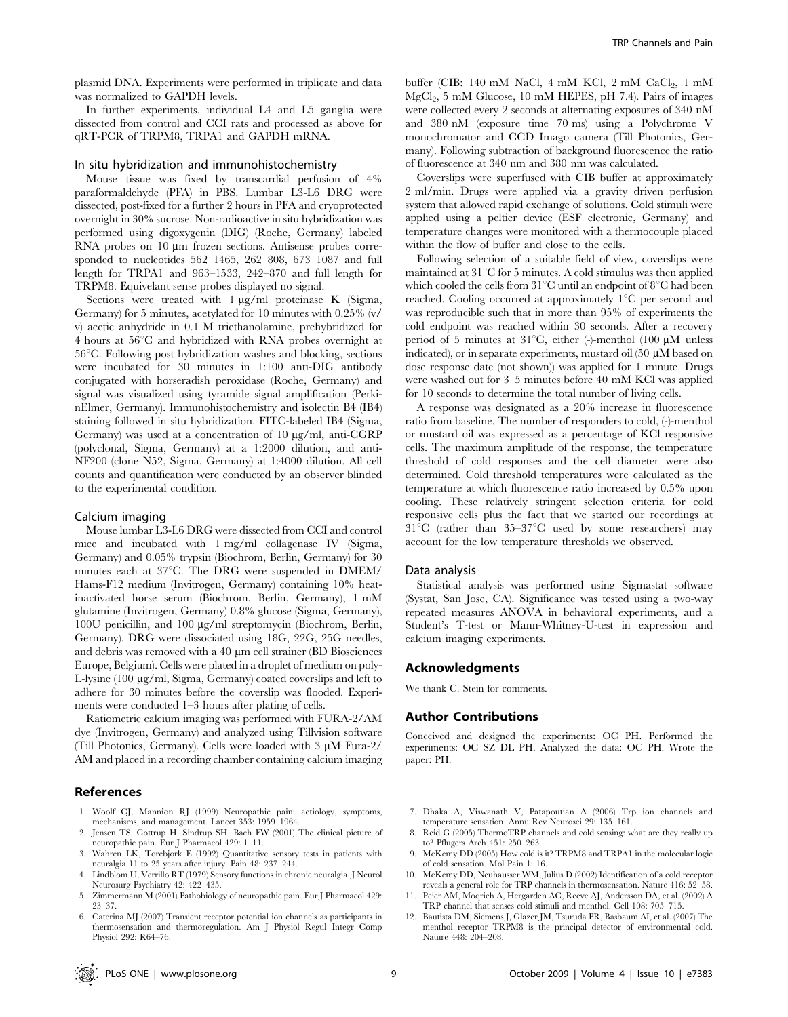plasmid DNA. Experiments were performed in triplicate and data was normalized to GAPDH levels.

In further experiments, individual L4 and L5 ganglia were dissected from control and CCI rats and processed as above for qRT-PCR of TRPM8, TRPA1 and GAPDH mRNA.

#### In situ hybridization and immunohistochemistry

Mouse tissue was fixed by transcardial perfusion of 4% paraformaldehyde (PFA) in PBS. Lumbar L3-L6 DRG were dissected, post-fixed for a further 2 hours in PFA and cryoprotected overnight in 30% sucrose. Non-radioactive in situ hybridization was performed using digoxygenin (DIG) (Roche, Germany) labeled RNA probes on  $10 \mu m$  frozen sections. Antisense probes corresponded to nucleotides 562–1465, 262–808, 673–1087 and full length for TRPA1 and 963–1533, 242–870 and full length for TRPM8. Equivelant sense probes displayed no signal.

Sections were treated with  $1 \mu g/ml$  proteinase K (Sigma, Germany) for 5 minutes, acetylated for 10 minutes with 0.25% (v/ v) acetic anhydride in 0.1 M triethanolamine, prehybridized for 4 hours at  $56^{\circ}$ C and hybridized with RNA probes overnight at  $56^{\circ}$ C. Following post hybridization washes and blocking, sections were incubated for 30 minutes in 1:100 anti-DIG antibody conjugated with horseradish peroxidase (Roche, Germany) and signal was visualized using tyramide signal amplification (PerkinElmer, Germany). Immunohistochemistry and isolectin B4 (IB4) staining followed in situ hybridization. FITC-labeled IB4 (Sigma, Germany) was used at a concentration of  $10 \mu g/ml$ , anti-CGRP (polyclonal, Sigma, Germany) at a 1:2000 dilution, and anti-NF200 (clone N52, Sigma, Germany) at 1:4000 dilution. All cell counts and quantification were conducted by an observer blinded to the experimental condition.

#### Calcium imaging

Mouse lumbar L3-L6 DRG were dissected from CCI and control mice and incubated with 1 mg/ml collagenase IV (Sigma, Germany) and 0.05% trypsin (Biochrom, Berlin, Germany) for 30 minutes each at  $37^{\circ}$ C. The DRG were suspended in DMEM/ Hams-F12 medium (Invitrogen, Germany) containing 10% heatinactivated horse serum (Biochrom, Berlin, Germany), 1 mM glutamine (Invitrogen, Germany) 0.8% glucose (Sigma, Germany), 100U penicillin, and 100 mg/ml streptomycin (Biochrom, Berlin, Germany). DRG were dissociated using 18G, 22G, 25G needles, and debris was removed with a  $40 \mu m$  cell strainer (BD Biosciences Europe, Belgium). Cells were plated in a droplet of medium on poly-L-lysine (100 µg/ml, Sigma, Germany) coated coverslips and left to adhere for 30 minutes before the coverslip was flooded. Experiments were conducted 1–3 hours after plating of cells.

Ratiometric calcium imaging was performed with FURA-2/AM dye (Invitrogen, Germany) and analyzed using Tillvision software (Till Photonics, Germany). Cells were loaded with  $3 \mu M$  Fura-2/ AM and placed in a recording chamber containing calcium imaging

#### References

- 1. Woolf CJ, Mannion RJ (1999) Neuropathic pain: aetiology, symptoms, mechanisms, and management. Lancet 353: 1959–1964.
- 2. Jensen TS, Gottrup H, Sindrup SH, Bach FW (2001) The clinical picture of neuropathic pain. Eur J Pharmacol 429: 1–11.
- 3. Wahren LK, Torebjork E (1992) Quantitative sensory tests in patients with neuralgia 11 to 25 years after injury. Pain 48: 237–244.
- 4. Lindblom U, Verrillo RT (1979) Sensory functions in chronic neuralgia. J Neurol Neurosurg Psychiatry 42: 422–435.
- 5. Zimmermann M (2001) Pathobiology of neuropathic pain. Eur J Pharmacol 429: 23–37.
- 6. Caterina MJ (2007) Transient receptor potential ion channels as participants in thermosensation and thermoregulation. Am J Physiol Regul Integr Comp Physiol 292: R64–76.

buffer (CIB: 140 mM NaCl, 4 mM KCl, 2 mM  $CaCl<sub>2</sub>$ , 1 mM  $MgCl<sub>2</sub>$ , 5 mM Glucose, 10 mM HEPES, pH 7.4). Pairs of images were collected every 2 seconds at alternating exposures of 340 nM and 380 nM (exposure time 70 ms) using a Polychrome V monochromator and CCD Imago camera (Till Photonics, Germany). Following subtraction of background fluorescence the ratio of fluorescence at 340 nm and 380 nm was calculated.

Coverslips were superfused with CIB buffer at approximately 2 ml/min. Drugs were applied via a gravity driven perfusion system that allowed rapid exchange of solutions. Cold stimuli were applied using a peltier device (ESF electronic, Germany) and temperature changes were monitored with a thermocouple placed within the flow of buffer and close to the cells.

Following selection of a suitable field of view, coverslips were maintained at  $31^{\circ}$ C for 5 minutes. A cold stimulus was then applied which cooled the cells from  $31^{\circ}$ C until an endpoint of  $8^{\circ}$ C had been reached. Cooling occurred at approximately  $1^{\circ}$ C per second and was reproducible such that in more than 95% of experiments the cold endpoint was reached within 30 seconds. After a recovery period of 5 minutes at  $31^{\circ}$ C, either (-)-menthol (100  $\mu$ M unless indicated), or in separate experiments, mustard oil  $(50 \mu M)$  based on dose response date (not shown)) was applied for 1 minute. Drugs were washed out for 3–5 minutes before 40 mM KCl was applied for 10 seconds to determine the total number of living cells.

A response was designated as a 20% increase in fluorescence ratio from baseline. The number of responders to cold, (-)-menthol or mustard oil was expressed as a percentage of KCl responsive cells. The maximum amplitude of the response, the temperature threshold of cold responses and the cell diameter were also determined. Cold threshold temperatures were calculated as the temperature at which fluorescence ratio increased by 0.5% upon cooling. These relatively stringent selection criteria for cold responsive cells plus the fact that we started our recordings at  $31^{\circ}$ C (rather than  $35-37^{\circ}$ C used by some researchers) may account for the low temperature thresholds we observed.

#### Data analysis

Statistical analysis was performed using Sigmastat software (Systat, San Jose, CA). Significance was tested using a two-way repeated measures ANOVA in behavioral experiments, and a Student's T-test or Mann-Whitney-U-test in expression and calcium imaging experiments.

#### Acknowledgments

We thank C. Stein for comments.

#### Author Contributions

Conceived and designed the experiments: OC PH. Performed the experiments: OC SZ DL PH. Analyzed the data: OC PH. Wrote the paper: PH.

- 7. Dhaka A, Viswanath V, Patapoutian A (2006) Trp ion channels and temperature sensation. Annu Rev Neurosci 29: 135–161.
- 8. Reid G (2005) ThermoTRP channels and cold sensing: what are they really up to? Pflugers Arch 451: 250–263.
- 9. McKemy DD (2005) How cold is it? TRPM8 and TRPA1 in the molecular logic of cold sensation. Mol Pain 1: 16.
- 10. McKemy DD, Neuhausser WM, Julius D (2002) Identification of a cold receptor reveals a general role for TRP channels in thermosensation. Nature 416: 52–58.
- 11. Peier AM, Moqrich A, Hergarden AC, Reeve AJ, Andersson DA, et al. (2002) A TRP channel that senses cold stimuli and menthol. Cell 108: 705–715.
- 12. Bautista DM, Siemens J, Glazer JM, Tsuruda PR, Basbaum AI, et al. (2007) The menthol receptor TRPM8 is the principal detector of environmental cold. Nature 448: 204–208.